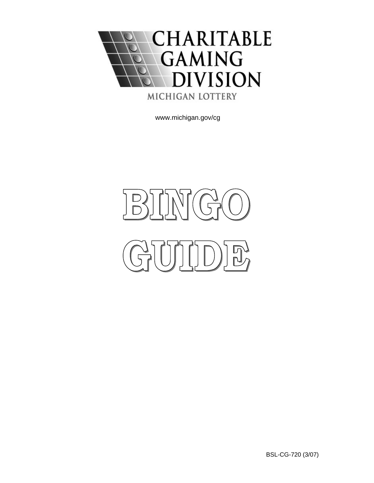

[www.michigan.gov/cg](http://www.michigan.gov/cg)

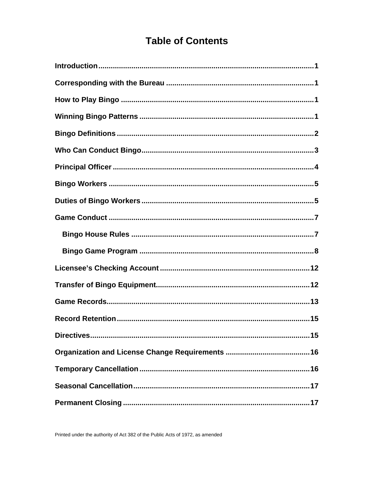# **Table of Contents**

| Directives<br>15 |
|------------------|
|                  |
|                  |
|                  |
|                  |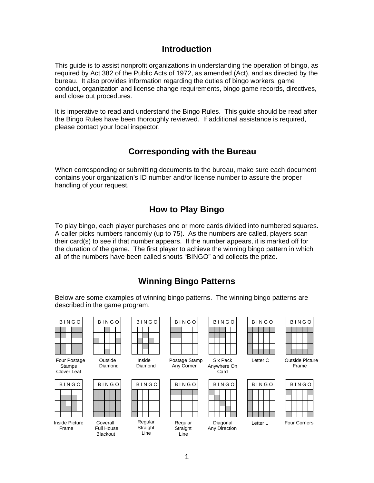### **Introduction**

<span id="page-2-0"></span>This guide is to assist nonprofit organizations in understanding the operation of bingo, as required by Act 382 of the Public Acts of 1972, as amended (Act), and as directed by the bureau. It also provides information regarding the duties of bingo workers, game conduct, organization and license change requirements, bingo game records, directives, and close out procedures.

It is imperative to read and understand th[e Bingo Rules](http://www.michigan.gov/cg/0,1607,7-111-820_822-4741--,00.html). This guide should be read after the Bingo Rules have been thoroughly reviewed. If additional assistance is required, please contact your local inspector.

### **Corresponding with the Bureau**

When corresponding or submitting documents to the bureau, make sure each document contains your organization's ID number and/or license number to assure the proper handling of your request.

### **How to Play Bingo**

To play bingo, each player purchases one or more cards divided into numbered squares. A caller picks numbers randomly (up to 75). As the numbers are called, players scan their card(s) to see if that number appears. If the number appears, it is marked off for the duration of the game. The first player to achieve the winning bingo pattern in which all of the numbers have been called shouts "BINGO" and collects the prize.

## **Winning Bingo Patterns**

Below are some examples of winning bingo patterns. The winning bingo patterns are described in the game program.

| <b>BINGO</b> |  |  |  |  |  |
|--------------|--|--|--|--|--|
|              |  |  |  |  |  |
|              |  |  |  |  |  |
|              |  |  |  |  |  |
|              |  |  |  |  |  |
|              |  |  |  |  |  |

Four Postage Stamps Clover Leaf

| <b>BINGO</b> |  |  |
|--------------|--|--|
|              |  |  |
|              |  |  |
|              |  |  |
|              |  |  |
|              |  |  |
|              |  |  |

| Outside |
|---------|
| Diamon  |



 Full House Blackout

| BINGO                                      | <b>BINGO</b>       | <b>BINGO</b>      | <b>BINGO</b>                | <b>BINGO</b>                    | <b>BINGO</b> | <b>BINGO</b>                  |
|--------------------------------------------|--------------------|-------------------|-----------------------------|---------------------------------|--------------|-------------------------------|
|                                            |                    |                   |                             |                                 |              |                               |
| our Postage<br><b>Stamps</b><br>lover Leaf | Outside<br>Diamond | Inside<br>Diamond | Postage Stamp<br>Any Corner | Six Pack<br>Anywhere On<br>Card | Letter C     | <b>Outside Pictu</b><br>Frame |
| BINGO                                      | <b>BINGO</b>       | <b>BINGO</b>      | <b>BINGO</b>                | <b>BINGO</b>                    | <b>BINGO</b> | <b>BINGO</b>                  |



| INGO |           |  |
|------|-----------|--|
|      |           |  |
|      |           |  |
|      |           |  |
|      |           |  |
|      |           |  |
|      | age Stamp |  |

Posta Any Corner

| <b>BINGO</b>            | <b>BINGO</b>           | <b>BINGO</b>        | <b>BINGO</b>        | <b>BINGO</b>                     | <b>BINGO</b> | <b>BINGO</b>        |
|-------------------------|------------------------|---------------------|---------------------|----------------------------------|--------------|---------------------|
|                         |                        |                     |                     |                                  |              |                     |
|                         |                        |                     |                     |                                  |              |                     |
| Inside Picture<br>Frame | Coverall<br>Full House | Regular<br>Straight | Regular<br>Straight | Diagonal<br><b>Any Direction</b> | Letter L     | <b>Four Corners</b> |

Line

|  | BINGO |  |
|--|-------|--|
|  |       |  |
|  |       |  |
|  |       |  |
|  |       |  |
|  |       |  |
|  |       |  |

|  |        | BINGO    |  |
|--|--------|----------|--|
|  |        |          |  |
|  |        |          |  |
|  |        |          |  |
|  |        |          |  |
|  |        |          |  |
|  | Direct | Diagonal |  |

|  | BINGO |  |  |
|--|-------|--|--|
|  |       |  |  |
|  |       |  |  |
|  |       |  |  |
|  |       |  |  |
|  |       |  |  |

Letter C Outside Picture

| <b>BINGO</b> |  |  |  |  |  |  |
|--------------|--|--|--|--|--|--|
|              |  |  |  |  |  |  |
|              |  |  |  |  |  |  |
|              |  |  |  |  |  |  |
|              |  |  |  |  |  |  |
|              |  |  |  |  |  |  |

 $n$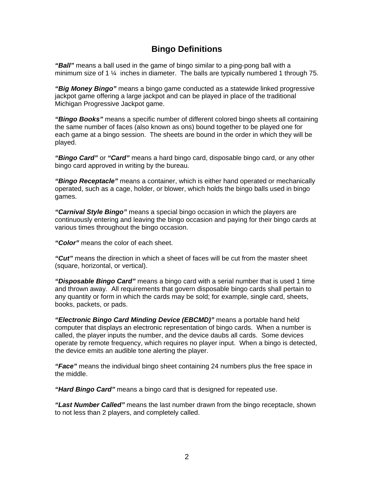### **Bingo Definitions**

<span id="page-3-0"></span>*"Ball"* means a ball used in the game of bingo similar to a ping-pong ball with a minimum size of 1 ¼ inches in diameter. The balls are typically numbered 1 through 75.

*"Big Money Bingo"* means a bingo game conducted as a statewide linked progressive jackpot game offering a large jackpot and can be played in place of the traditional Michigan Progressive Jackpot game.

*"Bingo Books"* means a specific number of different colored bingo sheets all containing the same number of faces (also known as ons) bound together to be played one for each game at a bingo session. The sheets are bound in the order in which they will be played.

*"Bingo Card"* or *"Card"* means a hard bingo card, disposable bingo card, or any other bingo card approved in writing by the bureau.

*"Bingo Receptacle"* means a container, which is either hand operated or mechanically operated, such as a cage, holder, or blower, which holds the bingo balls used in bingo games.

*"Carnival Style Bingo"* means a special bingo occasion in which the players are continuously entering and leaving the bingo occasion and paying for their bingo cards at various times throughout the bingo occasion.

*"Color"* means the color of each sheet.

*"Cut"* means the direction in which a sheet of faces will be cut from the master sheet (square, horizontal, or vertical).

*"Disposable Bingo Card"* means a bingo card with a serial number that is used 1 time and thrown away. All requirements that govern disposable bingo cards shall pertain to any quantity or form in which the cards may be sold; for example, single card, sheets, books, packets, or pads.

*"Electronic Bingo Card Minding Device (EBCMD)"* means a portable hand held computer that displays an electronic representation of bingo cards. When a number is called, the player inputs the number, and the device daubs all cards. Some devices operate by remote frequency, which requires no player input. When a bingo is detected, the device emits an audible tone alerting the player.

*"Face"* means the individual bingo sheet containing 24 numbers plus the free space in the middle.

*"Hard Bingo Card"* means a bingo card that is designed for repeated use.

*"Last Number Called"* means the last number drawn from the bingo receptacle, shown to not less than 2 players, and completely called.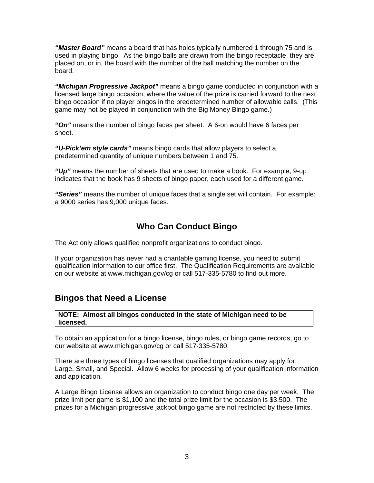<span id="page-4-0"></span>*"Master Board"* means a board that has holes typically numbered 1 through 75 and is used in playing bingo. As the bingo balls are drawn from the bingo receptacle, they are placed on, or in, the board with the number of the ball matching the number on the board.

*"[Michigan Progressive Jackpot"](http://www.michigan.gov/documents/BSL-CG-D030101_1392_7.PDF)* means a bingo game conducted in conjunction with a licensed large bingo occasion, where the value of the prize is carried forward to the next bingo occasion if no player bingos in the predetermined number of allowable calls. (This game may not be played in conjunction with the Big Money Bingo game.)

*"On"* means the number of bingo faces per sheet. A 6-on would have 6 faces per sheet.

*"U-Pick'em style cards"* means bingo cards that allow players to select a predetermined quantity of unique numbers between 1 and 75.

*"Up"* means the number of sheets that are used to make a book. For example, 9-up indicates that the book has 9 sheets of bingo paper, each used for a different game.

*"Series"* means the number of unique faces that a single set will contain. For example: a 9000 series has 9,000 unique faces.

### **Who Can Conduct Bingo**

The [Act](http://www.michigan.gov/documents/BSL-CG-BingoAct_31723_7.PDF) only allows qualified nonprofit organizations to conduct bingo.

If your organization has never had a charitable gaming license, you need to submit qualification information to our office first. The Qualification Requirements are available on our website at [www.michigan.gov/cg](http://www.michigan.gov/cg) or call 517-335-5780 to find out more.

### **Bingos that Need a License**

**NOTE: Almost all bingos conducted in the state of Michigan need to be licensed.** 

To obtain an application for a bingo license, bingo rules, or bingo game records, go to our website at [www.michigan.gov/cg](http://www.michigan.gov/cg) or call 517-335-5780.

There are three types of bingo licenses that qualified organizations may apply for: Large, Small, and Special. Allow 6 weeks for processing of your qualification information and application.

A Large Bingo License allows an organization to conduct bingo one day per week. The prize limit per game is \$1,100 and the total prize limit for the occasion is \$3,500. The prizes for a Michigan progressive jackpot bingo game are not restricted by these limits.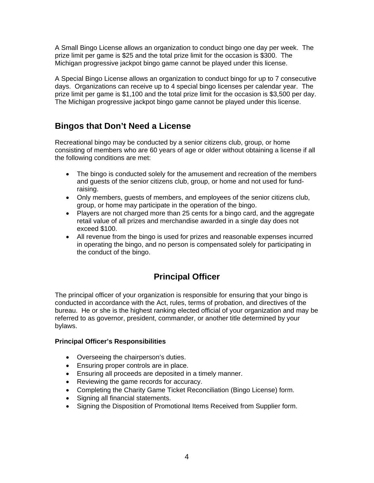<span id="page-5-0"></span>A Small Bingo License allows an organization to conduct bingo one day per week. The prize limit per game is \$25 and the total prize limit for the occasion is \$300. The Michigan progressive jackpot bingo game cannot be played under this license.

A Special Bingo License allows an organization to conduct bingo for up to 7 consecutive days. Organizations can receive up to 4 special bingo licenses per calendar year. The prize limit per game is \$1,100 and the total prize limit for the occasion is \$3,500 per day. The Michigan progressive jackpot bingo game cannot be played under this license.

## **Bingos that Don't Need a License**

Recreational bingo may be conducted by a senior citizens club, group, or home consisting of members who are 60 years of age or older without obtaining a license if all the following conditions are met:

- The bingo is conducted solely for the amusement and recreation of the members and guests of the senior citizens club, group, or home and not used for fundraising.
- Only members, guests of members, and employees of the senior citizens club, group, or home may participate in the operation of the bingo.
- Players are not charged more than 25 cents for a bingo card, and the aggregate retail value of all prizes and merchandise awarded in a single day does not exceed \$100.
- All revenue from the bingo is used for prizes and reasonable expenses incurred in operating the bingo, and no person is compensated solely for participating in the conduct of the bingo.

## **Principal Officer**

The principal officer of your organization is responsible for ensuring that your bingo is conducted in accordance with the [Act](http://www.michigan.gov/documents/BSL-CG-BingoAct_31723_7.PDF), [rules](http://www.michigan.gov/cg/0,1607,7-111-820_822---,00.html), terms of probation, and [directives](http://www.michigan.gov/cg/0,1607,7-111-820_823---,00.html) of the bureau. He or she is the highest ranking elected official of your organization and may be referred to as governor, president, commander, or another title determined by your bylaws.

#### **Principal Officer's Responsibilities**

- Overseeing the chairperson's duties.
- Ensuring proper controls are in place.
- Ensuring all proceeds are deposited in a timely manner.
- Reviewing the game records for accuracy.
- Completing the Charity Game Ticket Reconciliation (Bingo License) form.
- Signing all financial statements.
- Signing the Disposition of Promotional Items Received from Supplier form.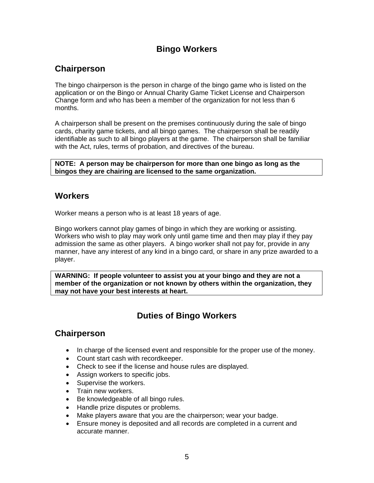## **Bingo Workers**

### <span id="page-6-0"></span>**Chairperson**

The bingo chairperson is the person in charge of the bingo game who is listed on the [application](http://www.michigan.gov/documents/BSL-CG-1199_1329_7.pdf) or on the [Bingo or Annual Charity Game Ticket License and Chairperson](http://www.michigan.gov/documents/BSL-CG-1330_1333_7.pdf)  [Change](http://www.michigan.gov/documents/BSL-CG-1330_1333_7.pdf) form and who has been a member of the organization for not less than 6 months.

A chairperson shall be present on the premises continuously during the sale of bingo cards, charity game tickets, and all bingo games. The chairperson shall be readily identifiable as such to all bingo players at the game. The chairperson shall be familiar with the [Act,](http://www.michigan.gov/documents/BSL-CG-BingoAct_31723_7.PDF) [rules,](http://www.michigan.gov/cg/0,1607,7-111-820_822---,00.html) terms of probation, and [directives](http://www.michigan.gov/cg/0,1607,7-111-820_823---,00.html) of the bureau.

**NOTE: A person may be chairperson for more than one bingo as long as the bingos they are chairing are licensed to the same organization.** 

### **Workers**

Worker means a person who is at least 18 years of age.

Bingo workers cannot play games of bingo in which they are working or assisting. Workers who wish to play may work only until game time and then may play if they pay admission the same as other players. A bingo worker shall not pay for, provide in any manner, have any interest of any kind in a bingo card, or share in any prize awarded to a player.

**WARNING: If people volunteer to assist you at your bingo and they are not a member of the organization or not known by others within the organization, they may not have your best interests at heart.** 

## **Duties of Bingo Workers**

### **Chairperson**

- In charge of the licensed event and responsible for the proper use of the money.
- Count start cash with recordkeeper.
- Check to see if the license and house rules are displayed.
- Assign workers to specific jobs.
- Supervise the workers.
- Train new workers.
- Be knowledgeable of all bingo rules.
- Handle prize disputes or problems.
- Make players aware that you are the chairperson; wear your badge.
- Ensure money is deposited and all records are completed in a current and accurate manner.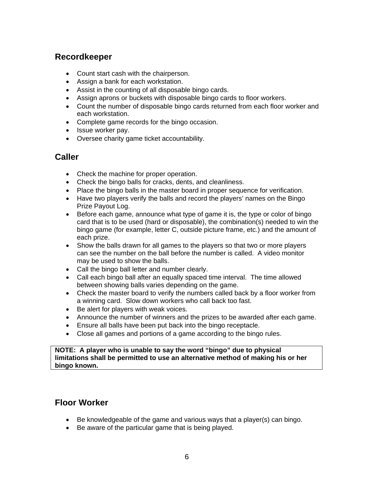### **Recordkeeper**

- Count start cash with the chairperson.
- Assign a bank for each workstation.
- Assist in the counting of all disposable bingo cards.
- Assign aprons or buckets with disposable bingo cards to floor workers.
- Count the number of disposable bingo cards returned from each floor worker and each workstation.
- Complete game records for the bingo occasion.
- Issue worker pay.
- Oversee charity game ticket accountability.

### **Caller**

- Check the machine for proper operation.
- Check the bingo balls for cracks, dents, and cleanliness.
- Place the bingo balls in the master board in proper sequence for verification.
- Have two players verify the balls and record the players' names on the [Bingo](http://www.michigan.gov/documents/BSL-CG-1173_1325_7.pdf)  [Prize Payout Log.](http://www.michigan.gov/documents/BSL-CG-1173_1325_7.pdf)
- Before each game, announce what type of game it is, the type or color of bingo card that is to be used (hard or disposable), the combination(s) needed to win the bingo game (for example, letter C, outside picture frame, etc.) and the amount of each prize.
- Show the balls drawn for all games to the players so that two or more players can see the number on the ball before the number is called. A video monitor may be used to show the balls.
- Call the bingo ball letter and number clearly.
- Call each bingo ball after an equally spaced time interval. The time allowed between showing balls varies depending on the game.
- Check the master board to verify the numbers called back by a floor worker from a winning card. Slow down workers who call back too fast.
- Be alert for players with weak voices.
- Announce the number of winners and the prizes to be awarded after each game.
- Ensure all balls have been put back into the bingo receptacle.
- Close all games and portions of a game according to the bingo rules.

**NOTE: A player who is unable to say the word "bingo" due to physical limitations shall be permitted to use an alternative method of making his or her bingo known.** 

### **Floor Worker**

- Be knowledgeable of the game and various ways that a player(s) can bingo.
- Be aware of the particular game that is being played.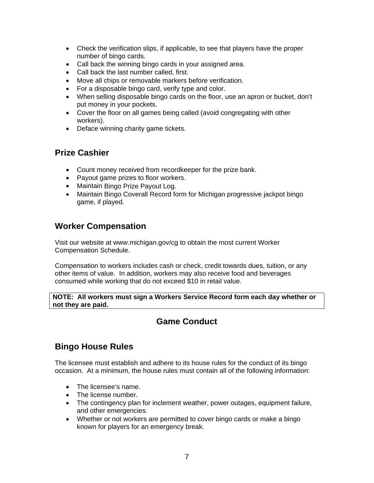- <span id="page-8-0"></span>• Check the verification slips, if applicable, to see that players have the proper number of bingo cards.
- Call back the winning bingo cards in your assigned area.
- Call back the last number called, first.
- Move all chips or removable markers before verification.
- For a disposable bingo card, verify type and color.
- When selling disposable bingo cards on the floor, use an apron or bucket, don't put money in your pockets.
- Cover the floor on all games being called (avoid congregating with other workers).
- Deface winning charity game tickets.

### **Prize Cashier**

- Count money received from recordkeeper for the prize bank.
- Payout game prizes to floor workers.
- Maintain [Bingo Prize Payout Log.](http://www.michigan.gov/documents/BSL-CG-1173_1325_7.pdf)
- Maintain [Bingo Coverall Record](http://www.michigan.gov/documents/BSL-CG-1173_1325_7.pdf) form for Michigan progressive jackpot bingo game, if played.

## **Worker Compensation**

Visit our website at www.michigan.gov/cg to obtain the most current Worker Compensation Schedule.

Compensation to workers includes cash or check, credit towards dues, tuition, or any other items of value. In addition, workers may also receive food and beverages consumed while working that do not exceed \$10 in retail value.

**NOTE: All workers must sign a [Workers Service Record](http://www.michigan.gov/documents/BSL-CG-1724_1379_7.pdf) form each day whether or not they are paid.** 

### **Game Conduct**

### **Bingo House Rules**

The licensee must establish and adhere to its house rules for the conduct of its bingo occasion. At a minimum, the house rules must contain all of the following information:

- The licensee's name.
- The license number.
- The contingency plan for inclement weather, power outages, equipment failure, and other emergencies.
- Whether or not workers are permitted to cover bingo cards or make a bingo known for players for an emergency break.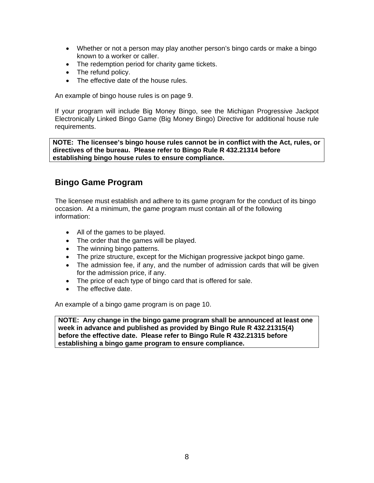- <span id="page-9-0"></span>• Whether or not a person may play another person's bingo cards or make a bingo known to a worker or caller.
- The redemption period for charity game tickets.
- The refund policy.
- The effective date of the house rules.

An example of bingo house rules is on page 9.

If your program will include Big Money Bingo, see the Michigan Progressive Jackpot Electronically Linked Bingo Game (Big Money Bingo) Directive for additional house rule requirements.

**NOTE: The licensee's bingo house rules cannot be in conflict with the [Act](http://www.michigan.gov/documents/BSL-CG-BingoAct_31723_7.PDF), [rules](http://www.michigan.gov/cg/0,1607,7-111-820_822---,00.html), or [directives](http://www.michigan.gov/cg/0,1607,7-111-820_823---,00.html) of the bureau. Please refer to [Bingo Rule](http://www.michigan.gov/cg/0,1607,7-111-820_822-4741--,00.html) R 432.21314 before establishing bingo house rules to ensure compliance.** 

### **Bingo Game Program**

The licensee must establish and adhere to its game program for the conduct of its bingo occasion. At a minimum, the game program must contain all of the following information:

- All of the games to be played.
- The order that the games will be played.
- The winning bingo patterns.
- The prize structure, except for the Michigan progressive jackpot bingo game.
- The admission fee, if any, and the number of admission cards that will be given for the admission price, if any.
- The price of each type of bingo card that is offered for sale.
- The effective date.

An example of a bingo game program is on page 10.

**NOTE: Any change in the bingo game program shall be announced at least one week in advance and published as provided by [Bingo Rule](http://www.michigan.gov/cg/0,1607,7-111-820_822-4741--,00.html) R 432.21315(4) before the effective date. Please refer to [Bingo Rule](http://www.michigan.gov/cg/0,1607,7-111-820_822-4741--,00.html) R 432.21315 before establishing a bingo game program to ensure compliance.**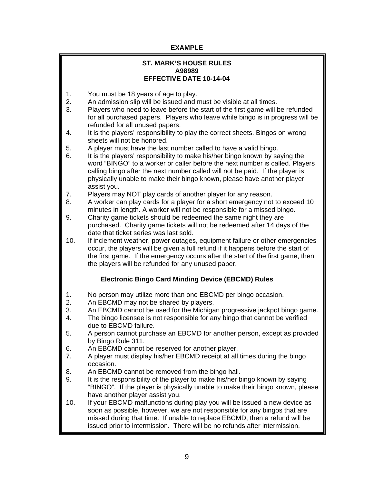#### **EXAMPLE**

#### **ST. MARK'S HOUSE RULES A98989 EFFECTIVE DATE 10-14-04**

- 1. You must be 18 years of age to play.
- 2. An admission slip will be issued and must be visible at all times.
- 3. Players who need to leave before the start of the first game will be refunded for all purchased papers. Players who leave while bingo is in progress will be refunded for all unused papers.
- 4. It is the players' responsibility to play the correct sheets. Bingos on wrong sheets will not be honored.
- 5. A player must have the last number called to have a valid bingo.
- 6. It is the players' responsibility to make his/her bingo known by saying the word "BINGO" to a worker or caller before the next number is called. Players calling bingo after the next number called will not be paid. If the player is physically unable to make their bingo known, please have another player assist you.
- 7. Players may NOT play cards of another player for any reason.
- 8. A worker can play cards for a player for a short emergency not to exceed 10 minutes in length. A worker will not be responsible for a missed bingo.
- 9. Charity game tickets should be redeemed the same night they are purchased. Charity game tickets will not be redeemed after 14 days of the date that ticket series was last sold.
- 10. If inclement weather, power outages, equipment failure or other emergencies occur, the players will be given a full refund if it happens before the start of the first game. If the emergency occurs after the start of the first game, then the players will be refunded for any unused paper.

#### **Electronic Bingo Card Minding Device (EBCMD) Rules**

- 1. No person may utilize more than one EBCMD per bingo occasion.<br>2. An EBCMD may not be shared by players.
- An EBCMD may not be shared by players.
- 3. An EBCMD cannot be used for the Michigan progressive jackpot bingo game.
- 4. The bingo licensee is not responsible for any bingo that cannot be verified due to EBCMD failure.
- 5. A person cannot purchase an EBCMD for another person, except as provided by Bingo Rule 311.
- 6. An EBCMD cannot be reserved for another player.
- 7. A player must display his/her EBCMD receipt at all times during the bingo occasion.
- 8. An EBCMD cannot be removed from the bingo hall.
- 9. It is the responsibility of the player to make his/her bingo known by saying "BINGO". If the player is physically unable to make their bingo known, please have another player assist you.
- 10. If your EBCMD malfunctions during play you will be issued a new device as soon as possible, however, we are not responsible for any bingos that are missed during that time. If unable to replace EBCMD, then a refund will be issued prior to intermission. There will be no refunds after intermission.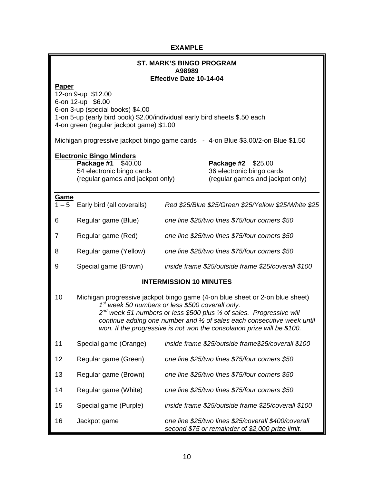### **EXAMPLE**

| <b>ST. MARK'S BINGO PROGRAM</b><br>A98989                                                                                                                                                                      |                                                                                                                                                                                                                                                                                                                                                                             |                                                     |                                                                                                          |
|----------------------------------------------------------------------------------------------------------------------------------------------------------------------------------------------------------------|-----------------------------------------------------------------------------------------------------------------------------------------------------------------------------------------------------------------------------------------------------------------------------------------------------------------------------------------------------------------------------|-----------------------------------------------------|----------------------------------------------------------------------------------------------------------|
| Effective Date 10-14-04                                                                                                                                                                                        |                                                                                                                                                                                                                                                                                                                                                                             |                                                     |                                                                                                          |
| Paper<br>12-on 9-up \$12.00<br>6-on 12-up \$6.00<br>6-on 3-up (special books) \$4.00<br>1-on 5-up (early bird book) \$2.00/individual early bird sheets \$.50 each<br>4-on green (regular jackpot game) \$1.00 |                                                                                                                                                                                                                                                                                                                                                                             |                                                     |                                                                                                          |
| Michigan progressive jackpot bingo game cards - 4-on Blue \$3.00/2-on Blue \$1.50                                                                                                                              |                                                                                                                                                                                                                                                                                                                                                                             |                                                     |                                                                                                          |
|                                                                                                                                                                                                                | <b>Electronic Bingo Minders</b><br>Package #1 \$40.00<br>54 electronic bingo cards<br>(regular games and jackpot only)                                                                                                                                                                                                                                                      |                                                     | Package #2 \$25.00<br>36 electronic bingo cards<br>(regular games and jackpot only)                      |
| <u>Game</u>                                                                                                                                                                                                    | $1 - 5$ Early bird (all coveralls)                                                                                                                                                                                                                                                                                                                                          |                                                     | Red \$25/Blue \$25/Green \$25/Yellow \$25/White \$25                                                     |
| 6                                                                                                                                                                                                              | Regular game (Blue)                                                                                                                                                                                                                                                                                                                                                         |                                                     | one line \$25/two lines \$75/four corners \$50                                                           |
| 7                                                                                                                                                                                                              | Regular game (Red)                                                                                                                                                                                                                                                                                                                                                          | one line \$25/two lines \$75/four corners \$50      |                                                                                                          |
| 8                                                                                                                                                                                                              | Regular game (Yellow)                                                                                                                                                                                                                                                                                                                                                       | one line \$25/two lines \$75/four corners \$50      |                                                                                                          |
| 9                                                                                                                                                                                                              | Special game (Brown)                                                                                                                                                                                                                                                                                                                                                        | inside frame \$25/outside frame \$25/coverall \$100 |                                                                                                          |
| <b>INTERMISSION 10 MINUTES</b>                                                                                                                                                                                 |                                                                                                                                                                                                                                                                                                                                                                             |                                                     |                                                                                                          |
| 10                                                                                                                                                                                                             | Michigan progressive jackpot bingo game (4-on blue sheet or 2-on blue sheet)<br>1st week 50 numbers or less \$500 coverall only.<br>2 <sup>nd</sup> week 51 numbers or less \$500 plus 1/2 of sales. Progressive will<br>continue adding one number and 1/2 of sales each consecutive week until<br>won. If the progressive is not won the consolation prize will be \$100. |                                                     |                                                                                                          |
| 11                                                                                                                                                                                                             | Special game (Orange)                                                                                                                                                                                                                                                                                                                                                       |                                                     | inside frame \$25/outside frame\$25/coverall \$100                                                       |
| 12                                                                                                                                                                                                             | Regular game (Green)                                                                                                                                                                                                                                                                                                                                                        |                                                     | one line \$25/two lines \$75/four corners \$50                                                           |
| 13                                                                                                                                                                                                             | Regular game (Brown)                                                                                                                                                                                                                                                                                                                                                        |                                                     | one line \$25/two lines \$75/four corners \$50                                                           |
| 14                                                                                                                                                                                                             | Regular game (White)                                                                                                                                                                                                                                                                                                                                                        | one line \$25/two lines \$75/four corners \$50      |                                                                                                          |
| 15                                                                                                                                                                                                             | Special game (Purple)                                                                                                                                                                                                                                                                                                                                                       | inside frame \$25/outside frame \$25/coverall \$100 |                                                                                                          |
| 16                                                                                                                                                                                                             | Jackpot game                                                                                                                                                                                                                                                                                                                                                                |                                                     | one line \$25/two lines \$25/coverall \$400/coverall<br>second \$75 or remainder of \$2,000 prize limit. |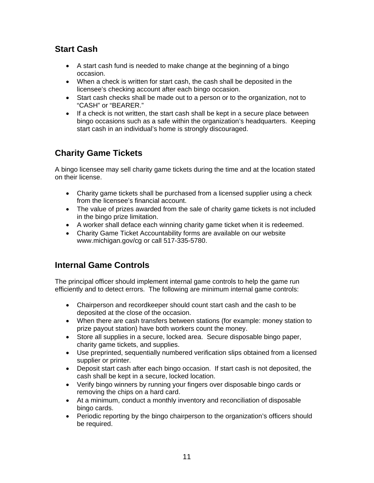## **Start Cash**

- A start cash fund is needed to make change at the beginning of a bingo occasion.
- When a check is written for start cash, the cash shall be deposited in the licensee's checking account after each bingo occasion.
- Start cash checks shall be made out to a person or to the organization, not to "CASH" or "BEARER."
- If a check is not written, the start cash shall be kept in a secure place between bingo occasions such as a safe within the organization's headquarters. Keeping start cash in an individual's home is strongly discouraged.

## **Charity Game Tickets**

A bingo licensee may sell charity game tickets during the time and at the location stated on their license.

- Charity game tickets shall be purchased from a licensed supplier using a check from the licensee's financial account.
- The value of prizes awarded from the sale of charity game tickets is not included in the bingo prize limitation.
- A worker shall deface each winning charity game ticket when it is redeemed.
- Charity Game Ticket Accountability forms are available on our website [www.michigan.gov/cg](http://www.michigan.gov/cg) or call 517-335-5780.

### **Internal Game Controls**

The principal officer should implement internal game controls to help the game run efficiently and to detect errors. The following are minimum internal game controls:

- Chairperson and recordkeeper should count start cash and the cash to be deposited at the close of the occasion.
- When there are cash transfers between stations (for example: money station to prize payout station) have both workers count the money.
- Store all supplies in a secure, locked area. Secure disposable bingo paper, charity game tickets, and supplies.
- Use preprinted, sequentially numbered verification slips obtained from a licensed supplier or printer.
- Deposit start cash after each bingo occasion. If start cash is not deposited, the cash shall be kept in a secure, locked location.
- Verify bingo winners by running your fingers over disposable bingo cards or removing the chips on a hard card.
- At a minimum, conduct a monthly inventory and reconciliation of disposable bingo cards.
- Periodic reporting by the bingo chairperson to the organization's officers should be required.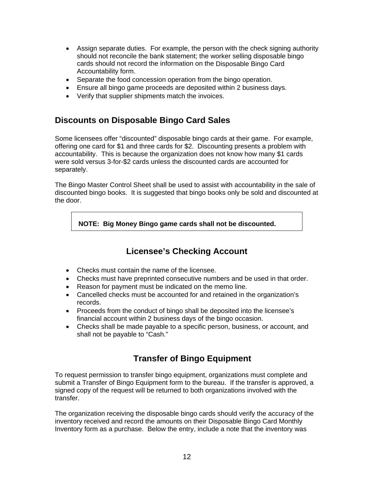- <span id="page-13-0"></span>• Assign separate duties. For example, the person with the check signing authority should not reconcile the bank statement; the worker selling disposable bingo cards should not record the information on the [Disposable Bingo Card](http://www.michigan.gov/documents/BSL-CG-1180_1327_7.pdf)  [Accountability](http://www.michigan.gov/documents/BSL-CG-1180_1327_7.pdf) form.
- Separate the food concession operation from the bingo operation.
- Ensure all bingo game proceeds are deposited within 2 business days.
- Verify that supplier shipments match the invoices.

### **Discounts on Disposable Bingo Card Sales**

Some licensees offer "discounted" disposable bingo cards at their game. For example, offering one card for \$1 and three cards for \$2. Discounting presents a problem with accountability. This is because the organization does not know how many \$1 cards were sold versus 3-for-\$2 cards unless the discounted cards are accounted for separately.

The Bingo Master Control Sheet shall be used to assist with accountability in the sale of discounted bingo books. It is suggested that bingo books only be sold and discounted at the door.

 **NOTE: Big Money Bingo game cards shall not be discounted.** 

### **Licensee's Checking Account**

- Checks must contain the name of the licensee.
- Checks must have preprinted consecutive numbers and be used in that order.
- Reason for payment must be indicated on the memo line.
- Cancelled checks must be accounted for and retained in the organization's records.
- Proceeds from the conduct of bingo shall be deposited into the licensee's financial account within 2 business days of the bingo occasion.
- Checks shall be made payable to a specific person, business, or account, and shall not be payable to "Cash."

### **Transfer of Bingo Equipment**

To request permission to transfer bingo equipment, organizations must complete and submit a [Transfer of Bingo Equipment](http://www.michigan.gov/documents/BSL-CG-1180_1327_7.pdf) form to the bureau. If the transfer is approved, a signed copy of the request will be returned to both organizations involved with the transfer.

The organization receiving the disposable bingo cards should verify the accuracy of the inventory received and record the amounts on their [Disposable Bingo Card Monthly](http://www.michigan.gov/documents/BSL-CG-1180_1327_7.pdf)  [Inventory](http://www.michigan.gov/documents/BSL-CG-1180_1327_7.pdf) form as a purchase. Below the entry, include a note that the inventory was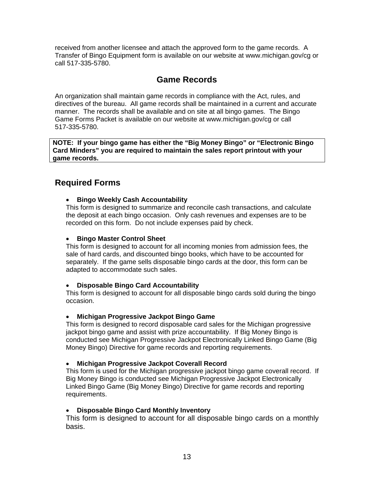<span id="page-14-0"></span>received from another licensee and attach the approved form to the game records. A [Transfer of Bingo Equipment](http://www.michigan.gov/documents/BSL-CG-1180_1327_7.pdf) form is available on our website at [www.michigan.gov/cg](http://www.michigan.gov/cg) or call 517-335-5780.

### **Game Records**

An organization shall maintain game records in compliance with the [Act](http://www.michigan.gov/documents/BSL-CG-BingoAct_31723_7.PDF), [rules](http://www.michigan.gov/cg/0,1607,7-111-820_822---,00.html), and [directives](http://www.michigan.gov/cg/0,1607,7-111-820_822---,00.html) of the bureau. All game records shall be maintained in a current and accurate manner. The records shall be available and on site at all bingo games. The [Bingo](http://www.michigan.gov/documents/BSL-CG-1423_2805_7.pdf)  [Game Forms](http://www.michigan.gov/documents/BSL-CG-1423_2805_7.pdf) Packet is available on our website at [www.michigan.gov/cg](http://www.michigan.gov/cg) or call 517-335-5780.

**NOTE: If your bingo game has either the "Big Money Bingo" or "Electronic Bingo Card Minders" you are required to maintain the sales report printout with your game records.** 

### **Required Forms**

#### • **[Bingo Weekly Cash Accountability](http://www.michigan.gov/documents/BSL-CG-1755_1381_7.pdf)**

This form is designed to summarize and reconcile cash transactions, and calculate the deposit at each bingo occasion. Only cash revenues and expenses are to be recorded on this form. Do not include expenses paid by check.

#### • **[Bingo Master Control Sheet](http://www.michigan.gov/documents/BSL-CG-1172_1306_7.pdf)**

This form is designed to account for all incoming monies from admission fees, the sale of hard cards, and discounted bingo books, which have to be accounted for separately. If the game sells disposable bingo cards at the door, this form can be adapted to accommodate such sales.

#### • **Disposable Bingo Card Accountability**

This form is designed to account for all disposable bingo cards sold during the bingo occasion.

#### • **Michigan Progressive Jackpot Bingo Game**

This form is designed to record disposable card sales for the Michigan progressive jackpot bingo game and assist with prize accountability. If Big Money Bingo is conducted see Michigan Progressive Jackpot Electronically Linked Bingo Game (Big Money Bingo) Directive for game records and reporting requirements.

#### • **Michigan Progressive Jackpot Coverall Record**

This form is used for the Michigan progressive jackpot bingo game coverall record. If Big Money Bingo is conducted see Michigan Progressive Jackpot Electronically Linked Bingo Game (Big Money Bingo) Directive for game records and reporting requirements.

#### • **[Disposable Bingo Card Monthly Inventory](http://www.michigan.gov/documents/BSL-CG-1333_1334_7.pdf)**

This form is designed to account for all disposable bingo cards on a monthly basis.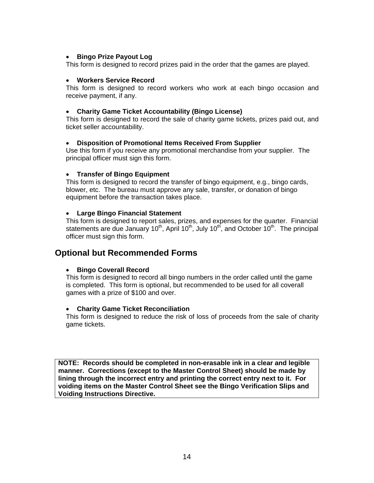#### • **[Bingo Prize Payout Log](http://www.michigan.gov/documents/BSL-CG-1173_1325_7.pdf)**

This form is designed to record prizes paid in the order that the games are played.

#### • **Workers Service Record**

This form is designed to record workers who work at each bingo occasion and receive payment, if any.

#### • **[Charity Game Ticket Accountability \(Bingo License\)](http://www.michigan.gov/documents/BSL-CG-1511_39155_7.pdf)**

This form is designed to record the sale of charity game tickets, prizes paid out, and ticket seller accountability.

#### • **[Disposition of Promotional Items Received From Supplier](http://www.michigan.gov/documents/BSL-CG-1754_79315_7.pdf)**

Use this form if you receive any promotional merchandise from your supplier. The principal officer must sign this form.

#### • **[Transfer of Bingo Equipment](http://www.michigan.gov/documents/BSL-CG-1657_1371_7.pdf)**

This form is designed to record the transfer of bingo equipment, e.g., bingo cards, blower, etc. The bureau must approve any sale, transfer, or donation of bingo equipment before the transaction takes place.

#### • **[Large Bingo Financial Statement](http://www.michigan.gov/documents/BSL-CG-1348_1338_7.pdf)**

This form is designed to report sales, prizes, and expenses for the quarter. Financial statements are due January 10<sup>th</sup>, April 10<sup>th</sup>, July 10<sup>th</sup>, and October 10<sup>th</sup>. The principal officer must sign this form.

### **Optional but Recommended Forms**

#### • **Bingo Coverall Record**

This form is designed to record all bingo numbers in the order called until the game is completed. This form is optional, but recommended to be used for all coverall games with a prize of \$100 and over.

#### • **Charity Game Ticket Reconciliation**

This form is designed to reduce the risk of loss of proceeds from the sale of charity game tickets.

**NOTE: Records should be completed in non-erasable ink in a clear and legible manner. Corrections (except to the Master Control Sheet) should be made by lining through the incorrect entry and printing the correct entry next to it. For voiding items on the Master Control Sheet see the Bingo Verification Slips and Voiding Instructions Directive.**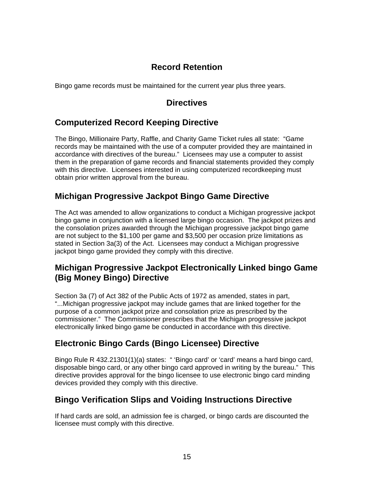## **Record Retention**

<span id="page-16-0"></span>Bingo game records must be maintained for the current year plus three years.

## **Directives**

## **[Computerized Record Keeping Directive](http://www.michigan.gov/documents/BSL-CG-D010101_1383_7.PDF)**

The Bingo, Millionaire Party, Raffle, and Charity Game Ticket rules all state: "Game records may be maintained with the use of a computer provided they are maintained in accordance with directives of the bureau." Licensees may use a computer to assist them in the preparation of game records and financial statements provided they comply with this directive. Licensees interested in using computerized recordkeeping must obtain prior written approval from the bureau.

## **Michigan Progressive Jackpot Bingo Game Directive**

The Act was amended to allow organizations to conduct a Michigan progressive jackpot bingo game in conjunction with a licensed large bingo occasion. The jackpot prizes and the consolation prizes awarded through the Michigan progressive jackpot bingo game are not subject to the \$1,100 per game and \$3,500 per occasion prize limitations as stated in Section 3a(3) of the Act. Licensees may conduct a Michigan progressive jackpot bingo game provided they comply with this directive.

## **Michigan Progressive Jackpot Electronically Linked bingo Game (Big Money Bingo) Directive**

Section 3a (7) of Act 382 of the Public Acts of 1972 as amended, states in part, "...Michigan progressive jackpot may include games that are linked together for the purpose of a common jackpot prize and consolation prize as prescribed by the commissioner." The Commissioner prescribes that the Michigan progressive jackpot electronically linked bingo game be conducted in accordance with this directive.

## **[Electronic Bingo Cards \(Bingo Licensee\) Directive](http://www.michigan.gov/documents/BSL-CG-D030101_1392_7.PDF)**

Bingo Rule R 432.21301(1)(a) states: " 'Bingo card' or 'card' means a hard bingo card, disposable bingo card, or any other bingo card approved in writing by the bureau." This directive provides approval for the bingo licensee to use electronic bingo card minding devices provided they comply with this directive.

## **[Bingo Verification Slips and Voiding Instructions Directive](http://www.michigan.gov/documents/BSL-CG-D030301_1393_7.PDF)**

If hard cards are sold, an admission fee is charged, or bingo cards are discounted the licensee must comply with this directive.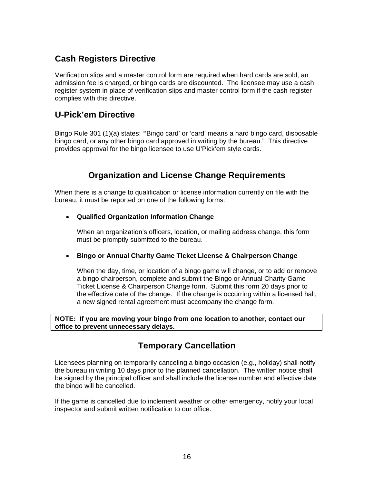## <span id="page-17-0"></span>**Cash Registers Directive**

Verification slips and a master control form are required when hard cards are sold, an admission fee is charged, or bingo cards are discounted. The licensee may use a cash register system in place of verification slips and master control form if the cash register complies with this directive.

## **U-Pick'em Directive**

Bingo Rule 301 (1)(a) states: "'Bingo card' or 'card' means a hard bingo card, disposable bingo card, or any other bingo card approved in writing by the bureau." This directive provides approval for the bingo licensee to use U'Pick'em style cards.

## **Organization and License Change Requirements**

When there is a change to qualification or license information currently on file with the bureau, it must be reported on one of the following forms:

#### • **[Qualified Organization Information Change](http://www.michigan.gov/documents/BSL-CG-1516_1359_7.pdf)**

When an organization's officers, location, or mailing address change, this form must be promptly submitted to the bureau.

#### • **[Bingo or Annual Charity Game Ticket License & Chairperson Change](http://www.michigan.gov/documents/BSL-CG-1330_1333_7.pdf)**

 When the day, time, or location of a bingo game will change, or to add or remove a bingo chairperson, complete and submit the Bingo or Annual Charity Game Ticket License & Chairperson Change form. Submit this form 20 days prior to the effective date of the change. If the change is occurring within a licensed hall, a new signed rental agreement must accompany the change form.

**NOTE: If you are moving your bingo from one location to another, contact our office to prevent unnecessary delays.**

### **Temporary Cancellation**

Licensees planning on temporarily canceling a bingo occasion (e.g., holiday) shall notify the bureau in writing 10 days prior to the planned cancellation. The written notice shall be signed by the principal officer and shall include the license number and effective date the bingo will be cancelled.

If the game is cancelled due to inclement weather or other emergency, notify your local inspector and submit written notification to our office.